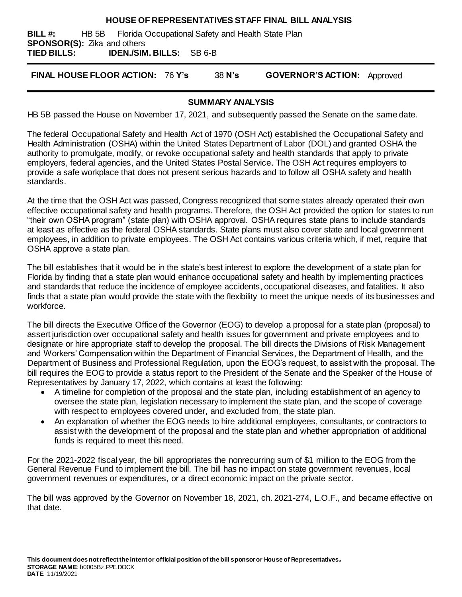### **HOUSE OF REPRESENTATIVES STAFF FINAL BILL ANALYSIS**

**BILL #:** HB 5B Florida Occupational Safety and Health State Plan **SPONSOR(S):** Zika and others **TIED BILLS: IDEN./SIM. BILLS:** SB 6-B

**FINAL HOUSE FLOOR ACTION:** 76 **Y's** 38 **N's GOVERNOR'S ACTION:** Approved

### **SUMMARY ANALYSIS**

HB 5B passed the House on November 17, 2021, and subsequently passed the Senate on the same date.

The federal Occupational Safety and Health Act of 1970 (OSH Act) established the Occupational Safety and Health Administration (OSHA) within the United States Department of Labor (DOL) and granted OSHA the authority to promulgate, modify, or revoke occupational safety and health standards that apply to private employers, federal agencies, and the United States Postal Service. The OSH Act requires employers to provide a safe workplace that does not present serious hazards and to follow all OSHA safety and health standards.

At the time that the OSH Act was passed, Congress recognized that some states already operated their own effective occupational safety and health programs. Therefore, the OSH Act provided the option for states to run "their own OSHA program" (state plan) with OSHA approval. OSHA requires state plans to include standards at least as effective as the federal OSHA standards. State plans must also cover state and local government employees, in addition to private employees. The OSH Act contains various criteria which, if met, require that OSHA approve a state plan.

The bill establishes that it would be in the state's best interest to explore the development of a state plan for Florida by finding that a state plan would enhance occupational safety and health by implementing practices and standards that reduce the incidence of employee accidents, occupational diseases, and fatalities. It also finds that a state plan would provide the state with the flexibility to meet the unique needs of its businesses and workforce.

The bill directs the Executive Office of the Governor (EOG) to develop a proposal for a state plan (proposal) to assert jurisdiction over occupational safety and health issues for government and private employees and to designate or hire appropriate staff to develop the proposal. The bill directs the Divisions of Risk Management and Workers' Compensation within the Department of Financial Services, the Department of Health, and the Department of Business and Professional Regulation, upon the EOG's request, to assist with the proposal. The bill requires the EOG to provide a status report to the President of the Senate and the Speaker of the House of Representatives by January 17, 2022, which contains at least the following:

- A timeline for completion of the proposal and the state plan, including establishment of an agency to oversee the state plan, legislation necessary to implement the state plan, and the scope of coverage with respect to employees covered under, and excluded from, the state plan.
- An explanation of whether the EOG needs to hire additional employees, consultants, or contractors to assist with the development of the proposal and the state plan and whether appropriation of additional funds is required to meet this need.

For the 2021-2022 fiscal year, the bill appropriates the nonrecurring sum of \$1 million to the EOG from the General Revenue Fund to implement the bill. The bill has no impact on state government revenues, local government revenues or expenditures, or a direct economic impact on the private sector.

The bill was approved by the Governor on November 18, 2021, ch. 2021-274, L.O.F., and became effective on that date.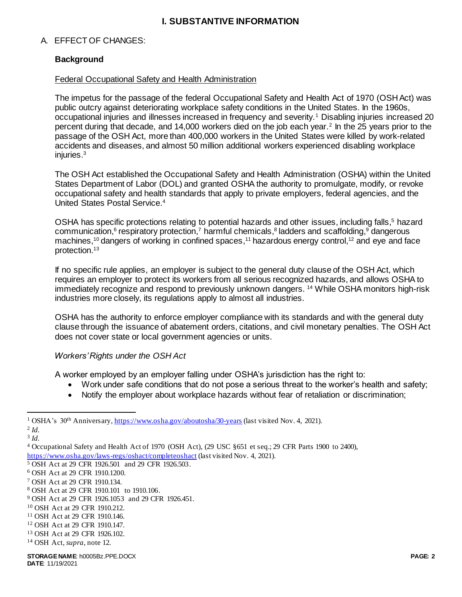# **I. SUBSTANTIVE INFORMATION**

### A. EFFECT OF CHANGES:

### **Background**

### Federal Occupational Safety and Health Administration

The impetus for the passage of the federal Occupational Safety and Health Act of 1970 (OSH Act) was public outcry against deteriorating workplace safety conditions in the United States. In the 1960s, occupational injuries and illnesses increased in frequency and severity.<sup>1</sup> Disabling injuries increased 20 percent during that decade, and 14,000 workers died on the job each year.<sup>2</sup> In the 25 years prior to the passage of the OSH Act, more than 400,000 workers in the United States were killed by work-related accidents and diseases, and almost 50 million additional workers experienced disabling workplace injuries. $3$ 

The OSH Act established the Occupational Safety and Health Administration (OSHA) within the United States Department of Labor (DOL) and granted OSHA the authority to promulgate, modify, or revoke occupational safety and health standards that apply to private employers, federal agencies, and the United States Postal Service.<sup>4</sup>

OSHA has specific protections relating to potential hazards and other issues, including falls,<sup>5</sup> hazard communication,<sup>6</sup> respiratory protection,<sup>7</sup> harmful chemicals,<sup>8</sup> ladders and scaffolding,<sup>9</sup> dangerous machines,<sup>10</sup> dangers of working in confined spaces,<sup>11</sup> hazardous energy control,<sup>12</sup> and eye and face protection.<sup>13</sup>

If no specific rule applies, an employer is subject to the general duty clause of the OSH Act, which requires an employer to protect its workers from all serious recognized hazards, and allows OSHA to immediately recognize and respond to previously unknown dangers. <sup>14</sup> While OSHA monitors high-risk industries more closely, its regulations apply to almost all industries.

OSHA has the authority to enforce employer compliance with its standards and with the general duty clause through the issuance of abatement orders, citations, and civil monetary penalties. The OSH Act does not cover state or local government agencies or units.

### *Workers' Rights under the OSH Act*

A worker employed by an employer falling under OSHA's jurisdiction has the right to:

- Work under safe conditions that do not pose a serious threat to the worker's health and safety;
- Notify the employer about workplace hazards without fear of retaliation or discrimination;

 $\overline{a}$ 

<sup>&</sup>lt;sup>1</sup> OSHA's 30<sup>th</sup> Anniversary[, https://www.osha.gov/aboutosha/30-years](https://www.osha.gov/aboutosha/30-years) (last visited Nov. 4, 2021). 2 *Id.*

<sup>3</sup> *Id.*

<sup>4</sup> Occupational Safety and Health Act of 1970 (OSH Act), (29 USC §651 et seq.; 29 CFR Parts 1900 to 2400), <https://www.osha.gov/laws-regs/oshact/completeoshact> (last visited Nov. 4, 2021).

<sup>5</sup> OSH Act at 29 CFR 1926.501 and 29 CFR 1926.503.

<sup>6</sup> OSH Act at 29 CFR 1910.1200.

<sup>7</sup> OSH Act at 29 CFR 1910.134.

<sup>8</sup> OSH Act at 29 CFR 1910.101 to 1910.106.

<sup>9</sup> OSH Act at 29 CFR 1926.1053 and 29 CFR 1926.451.

<sup>10</sup> OSH Act at 29 CFR 1910.212.

<sup>11</sup> OSH Act at 29 CFR 1910.146.

<sup>12</sup> OSH Act at 29 CFR 1910.147.

<sup>13</sup> OSH Act at 29 CFR 1926.102.

<sup>14</sup> OSH Act, *supra*, note 12.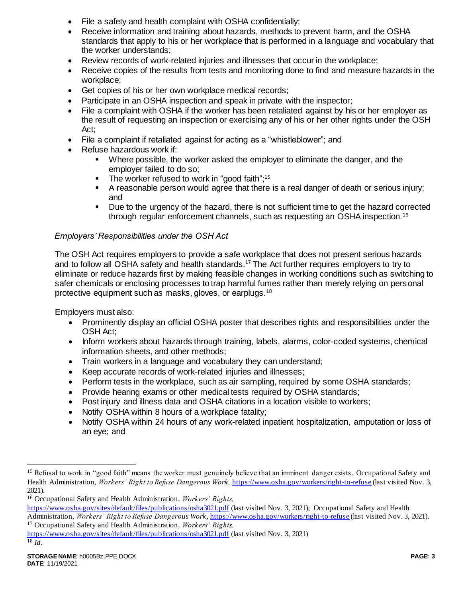- File a safety and health complaint with OSHA confidentially;
- Receive information and training about hazards, methods to prevent harm, and the OSHA standards that apply to his or her workplace that is performed in a language and vocabulary that the worker understands;
- Review records of work-related injuries and illnesses that occur in the workplace;
- Receive copies of the results from tests and monitoring done to find and measure hazards in the workplace;
- Get copies of his or her own workplace medical records;
- Participate in an OSHA inspection and speak in private with the inspector;
- File a complaint with OSHA if the worker has been retaliated against by his or her employer as the result of requesting an inspection or exercising any of his or her other rights under the OSH Act;
- File a complaint if retaliated against for acting as a "whistleblower"; and
- Refuse hazardous work if:
	- Where possible, the worker asked the employer to eliminate the danger, and the employer failed to do so;
	- **The worker refused to work in "good faith"**;<sup>15</sup>
	- A reasonable person would agree that there is a real danger of death or serious injury; and
	- Due to the urgency of the hazard, there is not sufficient time to get the hazard corrected through regular enforcement channels, such as requesting an OSHA inspection.<sup>16</sup>

# *Employers' Responsibilities under the OSH Act*

The OSH Act requires employers to provide a safe workplace that does not present serious hazards and to follow all OSHA safety and health standards.<sup>17</sup> The Act further requires employers to try to eliminate or reduce hazards first by making feasible changes in working conditions such as switching to safer chemicals or enclosing processes to trap harmful fumes rather than merely relying on personal protective equipment such as masks, gloves, or earplugs.<sup>18</sup>

Employers must also:

- Prominently display an official OSHA poster that describes rights and responsibilities under the OSH Act;
- Inform workers about hazards through training, labels, alarms, color-coded systems, chemical information sheets, and other methods;
- Train workers in a language and vocabulary they can understand;
- Keep accurate records of work-related injuries and illnesses;
- Perform tests in the workplace, such as air sampling, required by some OSHA standards;
- Provide hearing exams or other medical tests required by OSHA standards;
- Post injury and illness data and OSHA citations in a location visible to workers;
- Notify OSHA within 8 hours of a workplace fatality;
- Notify OSHA within 24 hours of any work-related inpatient hospitalization, amputation or loss of an eye; and

l

<sup>&</sup>lt;sup>15</sup> Refusal to work in "good faith" means the worker must genuinely believe that an imminent danger exists. Occupational Safety and Health Administration, *Workers' Right to Refuse Dangerous Work,* <https://www.osha.gov/workers/right-to-refuse> (last visited Nov. 3, 2021).

<sup>16</sup> Occupational Safety and Health Administration, *Workers' Rights,* 

<https://www.osha.gov/sites/default/files/publications/osha3021.pdf> (last visited Nov. 3, 2021); Occupational Safety and Health Administration, *Workers' Right to Refuse Dangerous Work,* <https://www.osha.gov/workers/right-to-refuse> (last visited Nov. 3, 2021). <sup>17</sup> Occupational Safety and Health Administration, *Workers' Rights,* 

<https://www.osha.gov/sites/default/files/publications/osha3021.pdf> (last visited Nov. 3, 2021) <sup>18</sup> *Id*.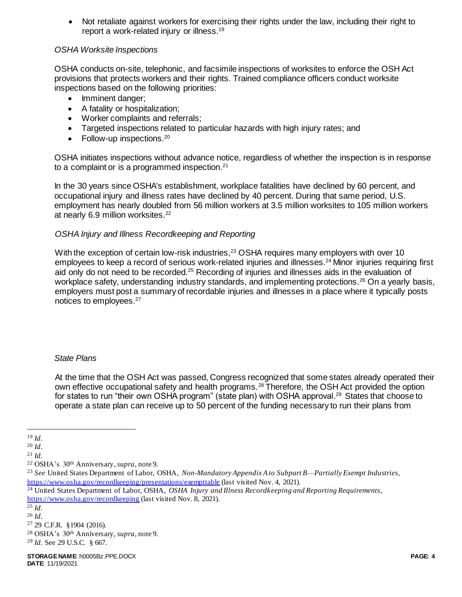Not retaliate against workers for exercising their rights under the law, including their right to report a work-related injury or illness.<sup>19</sup>

# *OSHA Worksite Inspections*

OSHA conducts on-site, telephonic, and facsimile inspections of worksites to enforce the OSH Act provisions that protects workers and their rights. Trained compliance officers conduct worksite inspections based on the following priorities:

- Imminent danger;
- A fatality or hospitalization;
- Worker complaints and referrals;
- Targeted inspections related to particular hazards with high injury rates; and
- Follow-up inspections. $20$

OSHA initiates inspections without advance notice, regardless of whether the inspection is in response to a complaint or is a programmed inspection.<sup>21</sup>

In the 30 years since OSHA's establishment, workplace fatalities have declined by 60 percent, and occupational injury and illness rates have declined by 40 percent. During that same period, U.S. employment has nearly doubled from 56 million workers at 3.5 million worksites to 105 million workers at nearly 6.9 million worksites.<sup>22</sup>

### *OSHA Injury and Illness Recordkeeping and Reporting*

With the exception of certain low-risk industries,<sup>23</sup> OSHA requires many employers with over 10 employees to keep a record of serious work-related injuries and illnesses.<sup>24</sup> Minor injuries requiring first aid only do not need to be recorded.<sup>25</sup> Recording of injuries and illnesses aids in the evaluation of workplace safety, understanding industry standards, and implementing protections.<sup>26</sup> On a yearly basis, employers must post a summary of recordable injuries and illnesses in a place where it typically posts notices to employees.<sup>27</sup>

### *State Plans*

At the time that the OSH Act was passed, Congress recognized that some states already operated their own effective occupational safety and health programs.<sup>28</sup> Therefore, the OSH Act provided the option for states to run "their own OSHA program" (state plan) with OSHA approval.<sup>29</sup> States that choose to operate a state plan can receive up to 50 percent of the funding necessary to run their plans from

 $\overline{a}$ 

<sup>24</sup> United States Department of Labor, OSHA, *OSHA Injury and Illness Recordkeeping and Reporting Requirements*, <https://www.osha.gov/recordkeeping> (last visited Nov. 8, 2021).

<sup>28</sup> OSHA's 30th Anniversary, *supra*, note 9.

 $19$  *Id*.

<sup>20</sup> *Id*.

<sup>21</sup> *Id*.

<sup>22</sup> OSHA's 30th Anniversary, *supra*, note 9.

<sup>23</sup> *See* United States Department of Labor, OSHA, *Non-Mandatory Appendix A to Subpart B—Partially Exempt Industries*, <https://www.osha.gov/recordkeeping/presentations/exempttable> (last visited Nov. 4, 2021).

<sup>25</sup> *Id.*

<sup>26</sup> *Id.* 

<sup>27</sup> 29 C.F.R. §1904 (2016).

<sup>29</sup> *Id.* See 29 U.S.C. § 667.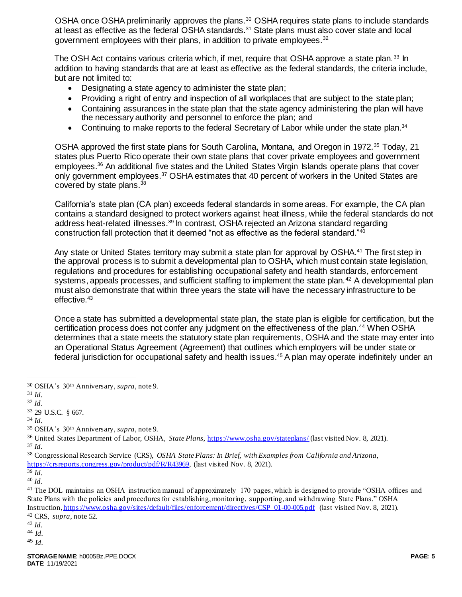OSHA once OSHA preliminarily approves the plans.<sup>30</sup> OSHA requires state plans to include standards at least as effective as the federal OSHA standards.<sup>31</sup> State plans must also cover state and local government employees with their plans, in addition to private employees.<sup>32</sup>

The OSH Act contains various criteria which, if met, require that OSHA approve a state plan.<sup>33</sup> In addition to having standards that are at least as effective as the federal standards, the criteria include, but are not limited to:

- Designating a state agency to administer the state plan;
- Providing a right of entry and inspection of all workplaces that are subject to the state plan;
- Containing assurances in the state plan that the state agency administering the plan will have the necessary authority and personnel to enforce the plan; and
- Continuing to make reports to the federal Secretary of Labor while under the state plan.<sup>34</sup>

OSHA approved the first state plans for South Carolina, Montana, and Oregon in 1972.<sup>35</sup> Today, 21 states plus Puerto Rico operate their own state plans that cover private employees and government employees.<sup>36</sup> An additional five states and the United States Virgin Islands operate plans that cover only government employees.<sup>37</sup> OSHA estimates that 40 percent of workers in the United States are covered by state plans.<sup>38</sup>

California's state plan (CA plan) exceeds federal standards in some areas. For example, the CA plan contains a standard designed to protect workers against heat illness, while the federal standards do not address heat-related illnesses.<sup>39</sup> In contrast, OSHA rejected an Arizona standard regarding construction fall protection that it deemed "not as effective as the federal standard."<sup>40</sup>

Any state or United States territory may submit a state plan for approval by OSHA.<sup>41</sup> The first step in the approval process is to submit a developmental plan to OSHA, which must contain state legislation, regulations and procedures for establishing occupational safety and health standards, enforcement systems, appeals processes, and sufficient staffing to implement the state plan.<sup>42</sup> A developmental plan must also demonstrate that within three years the state will have the necessary infrastructure to be effective.<sup>43</sup>

Once a state has submitted a developmental state plan, the state plan is eligible for certification, but the certification process does not confer any judgment on the effectiveness of the plan.<sup>44</sup> When OSHA determines that a state meets the statutory state plan requirements, OSHA and the state may enter into an Operational Status Agreement (Agreement) that outlines which employers will be under state or federal jurisdiction for occupational safety and health issues.<sup>45</sup> A plan may operate indefinitely under an

 $\overline{a}$ 

<sup>30</sup> OSHA's 30th Anniversary, *supra*, note 9.

<sup>31</sup> *Id.*

<sup>32</sup> *Id.*

<sup>33</sup> 29 U.S.C. § 667.

<sup>34</sup> *Id.*

<sup>35</sup> OSHA's 30th Anniversary, *supra*, note 9.

<sup>36</sup> United States Department of Labor, OSHA, *State Plans*[, https://www.osha.gov/stateplans/](https://www.osha.gov/stateplans/) (last visited Nov. 8, 2021). <sup>37</sup> *Id.*

<sup>38</sup> Congressional Research Service (CRS), *OSHA State Plans: In Brief, with Examples from California and Arizona,*  [https://crsreports.congress.gov/product/pdf/R/R43969,](https://crsreports.congress.gov/product/pdf/R/R43969) (last visited Nov. 8, 2021).

 $39 \dot{Id}$ . <sup>40</sup> *Id.*

<sup>41</sup> The DOL maintains an OSHA instruction manual of approximately 170 pages, which is designed to provide "OSHA offices and State Plans with the policies and procedures for establishing, monitoring, supporting, and withdrawing State Plans." OSHA Instruction[, https://www.osha.gov/sites/default/files/enforcement/directives/CSP\\_01-00-005.pdf](https://www.osha.gov/sites/default/files/enforcement/directives/CSP_01-00-005.pdf) (last visited Nov. 8, 2021). <sup>42</sup> CRS, *supra*, note 52.

<sup>43</sup> *Id.*

<sup>44</sup> *Id.*

<sup>45</sup> *Id.*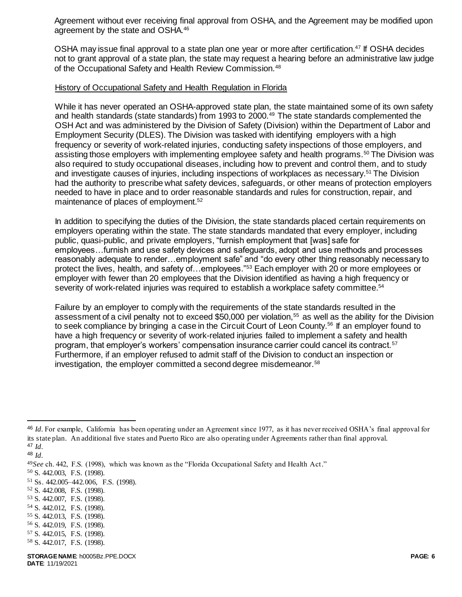Agreement without ever receiving final approval from OSHA, and the Agreement may be modified upon agreement by the state and OSHA.<sup>46</sup>

OSHA may issue final approval to a state plan one year or more after certification.<sup>47</sup> If OSHA decides not to grant approval of a state plan, the state may request a hearing before an administrative law judge of the Occupational Safety and Health Review Commission.<sup>48</sup>

### History of Occupational Safety and Health Regulation in Florida

While it has never operated an OSHA-approved state plan, the state maintained some of its own safety and health standards (state standards) from 1993 to 2000.<sup>49</sup> The state standards complemented the OSH Act and was administered by the Division of Safety (Division) within the Department of Labor and Employment Security (DLES). The Division was tasked with identifying employers with a high frequency or severity of work-related injuries, conducting safety inspections of those employers, and assisting those employers with implementing employee safety and health programs.<sup>50</sup> The Division was also required to study occupational diseases, including how to prevent and control them, and to study and investigate causes of injuries, including inspections of workplaces as necessary.<sup>51</sup> The Division had the authority to prescribe what safety devices, safeguards, or other means of protection employers needed to have in place and to order reasonable standards and rules for construction, repair, and maintenance of places of employment.<sup>52</sup>

In addition to specifying the duties of the Division, the state standards placed certain requirements on employers operating within the state. The state standards mandated that every employer, including public, quasi-public, and private employers, "furnish employment that [was] safe for employees…furnish and use safety devices and safeguards, adopt and use methods and processes reasonably adequate to render…employment safe" and "do every other thing reasonably necessary to protect the lives, health, and safety of…employees."<sup>53</sup> Each employer with 20 or more employees or employer with fewer than 20 employees that the Division identified as having a high frequency or severity of work-related injuries was required to establish a workplace safety committee.<sup>54</sup>

Failure by an employer to comply with the requirements of the state standards resulted in the assessment of a civil penalty not to exceed \$50,000 per violation,<sup>55</sup> as well as the ability for the Division to seek compliance by bringing a case in the Circuit Court of Leon County.<sup>56</sup> If an employer found to have a high frequency or severity of work-related injuries failed to implement a safety and health program, that employer's workers' compensation insurance carrier could cancel its contract.<sup>57</sup> Furthermore, if an employer refused to admit staff of the Division to conduct an inspection or investigation, the employer committed a second degree misdemeanor.<sup>58</sup>

 $\overline{a}$ 

- <sup>53</sup> S. 442.007, F.S. (1998).
- <sup>54</sup> S. 442.012, F.S. (1998).
- <sup>55</sup> S. 442.013, F.S. (1998).
- <sup>56</sup> S. 442.019, F.S. (1998). <sup>57</sup> S. 442.015, F.S. (1998).
- <sup>58</sup> S. 442.017, F.S. (1998).

<sup>46</sup> *Id.* For example, California has been operating under an Agreement since 1977, as it has never received OSHA's final approval for its state plan. An additional five states and Puerto Rico are also operating under Agreements rather than final approval. <sup>47</sup> *Id.*

<sup>48</sup> *Id.*

<sup>49</sup>*See* ch. 442, F.S. (1998), which was known as the "Florida Occupational Safety and Health Act."

<sup>50</sup> S. 442.003, F.S. (1998).

<sup>51</sup> Ss. 442.005–442.006, F.S. (1998).

<sup>52</sup> S. 442.008, F.S. (1998).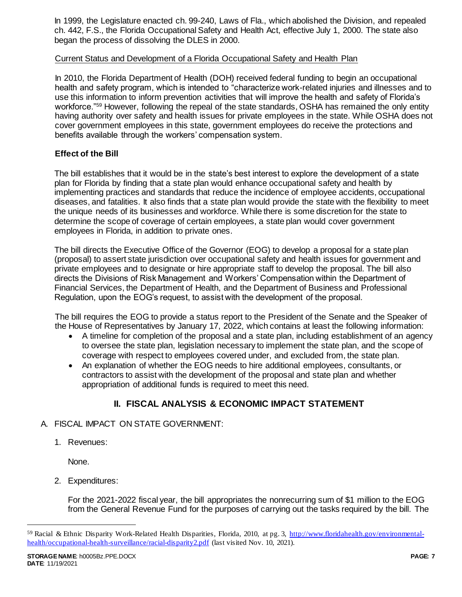In 1999, the Legislature enacted ch. 99-240, Laws of Fla., which abolished the Division, and repealed ch. 442, F.S., the Florida Occupational Safety and Health Act, effective July 1, 2000. The state also began the process of dissolving the DLES in 2000.

# Current Status and Development of a Florida Occupational Safety and Health Plan

In 2010, the Florida Department of Health (DOH) received federal funding to begin an occupational health and safety program, which is intended to "characterize work-related injuries and illnesses and to use this information to inform prevention activities that will improve the health and safety of Florida's workforce."<sup>59</sup> However, following the repeal of the state standards, OSHA has remained the only entity having authority over safety and health issues for private employees in the state. While OSHA does not cover government employees in this state, government employees do receive the protections and benefits available through the workers' compensation system.

# **Effect of the Bill**

The bill establishes that it would be in the state's best interest to explore the development of a state plan for Florida by finding that a state plan would enhance occupational safety and health by implementing practices and standards that reduce the incidence of employee accidents, occupational diseases, and fatalities. It also finds that a state plan would provide the state with the flexibility to meet the unique needs of its businesses and workforce. While there is some discretion for the state to determine the scope of coverage of certain employees, a state plan would cover government employees in Florida, in addition to private ones.

The bill directs the Executive Office of the Governor (EOG) to develop a proposal for a state plan (proposal) to assert state jurisdiction over occupational safety and health issues for government and private employees and to designate or hire appropriate staff to develop the proposal. The bill also directs the Divisions of Risk Management and Workers' Compensation within the Department of Financial Services, the Department of Health, and the Department of Business and Professional Regulation, upon the EOG's request, to assist with the development of the proposal.

The bill requires the EOG to provide a status report to the President of the Senate and the Speaker of the House of Representatives by January 17, 2022, which contains at least the following information:

- A timeline for completion of the proposal and a state plan, including establishment of an agency to oversee the state plan, legislation necessary to implement the state plan, and the scope of coverage with respect to employees covered under, and excluded from, the state plan.
- An explanation of whether the EOG needs to hire additional employees, consultants, or contractors to assist with the development of the proposal and state plan and whether appropriation of additional funds is required to meet this need.

# **II. FISCAL ANALYSIS & ECONOMIC IMPACT STATEMENT**

### A. FISCAL IMPACT ON STATE GOVERNMENT:

1. Revenues:

None.

2. Expenditures:

For the 2021-2022 fiscal year, the bill appropriates the nonrecurring sum of \$1 million to the EOG from the General Revenue Fund for the purposes of carrying out the tasks required by the bill. The

l

<sup>&</sup>lt;sup>59</sup> Racial & Ethnic Disparity Work-Related Health Disparities, Florida, 2010, at pg. 3, [http://www.floridahealth.gov/environmental](http://www.floridahealth.gov/environmental-health/occupational-health-surveillance/racial-disparity2.pdf)[health/occupational-health-surveillance/racial-disparity2.pdf](http://www.floridahealth.gov/environmental-health/occupational-health-surveillance/racial-disparity2.pdf) (last visited Nov. 10, 2021).